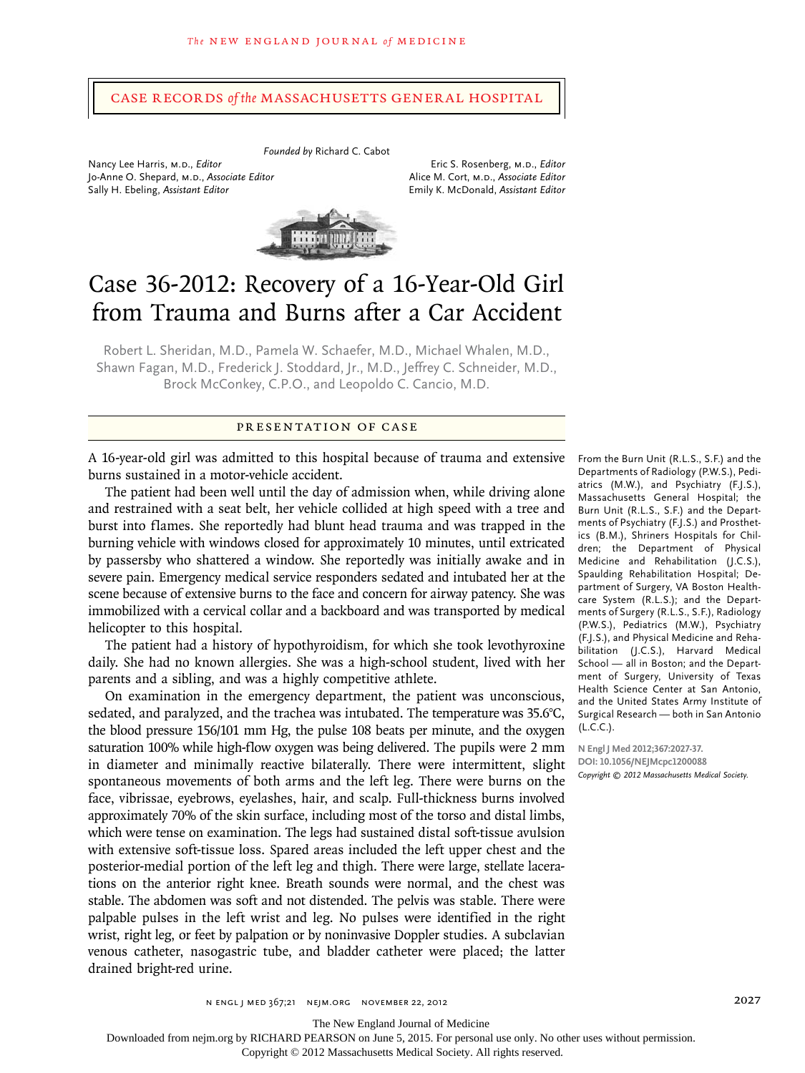case records *of the* massachusetts general hospital

*Founded by* Richard C. Cabot Nancy Lee Harris, M.D., *Editor* **Example 20 and Structure 20 and Structure 20 and Structure 20 and Editor** Eric S. Rosenberg, M.D., *Editor* Jo-Anne O. Shepard, m.d., *Associate Editor* Alice M. Cort, m.d., *Associate Editor* Sally H. Ebeling, *Assistant Editor* Emily K. McDonald, *Assistant Editor*



# Case 36-2012: Recovery of a 16-Year-Old Girl from Trauma and Burns after a Car Accident

Robert L. Sheridan, M.D., Pamela W. Schaefer, M.D., Michael Whalen, M.D., Shawn Fagan, M.D., Frederick J. Stoddard, Jr., M.D., Jeffrey C. Schneider, M.D., Brock McConkey, C.P.O., and Leopoldo C. Cancio, M.D.

## PRESENTATION OF CASE

A 16-year-old girl was admitted to this hospital because of trauma and extensive burns sustained in a motor-vehicle accident.

The patient had been well until the day of admission when, while driving alone and restrained with a seat belt, her vehicle collided at high speed with a tree and burst into flames. She reportedly had blunt head trauma and was trapped in the burning vehicle with windows closed for approximately 10 minutes, until extricated by passersby who shattered a window. She reportedly was initially awake and in severe pain. Emergency medical service responders sedated and intubated her at the scene because of extensive burns to the face and concern for airway patency. She was immobilized with a cervical collar and a backboard and was transported by medical helicopter to this hospital.

The patient had a history of hypothyroidism, for which she took levothyroxine daily. She had no known allergies. She was a high-school student, lived with her parents and a sibling, and was a highly competitive athlete.

On examination in the emergency department, the patient was unconscious, sedated, and paralyzed, and the trachea was intubated. The temperature was 35.6°C, the blood pressure 156/101 mm Hg, the pulse 108 beats per minute, and the oxygen saturation 100% while high-flow oxygen was being delivered. The pupils were 2 mm in diameter and minimally reactive bilaterally. There were intermittent, slight spontaneous movements of both arms and the left leg. There were burns on the face, vibrissae, eyebrows, eyelashes, hair, and scalp. Full-thickness burns involved approximately 70% of the skin surface, including most of the torso and distal limbs, which were tense on examination. The legs had sustained distal soft-tissue avulsion with extensive soft-tissue loss. Spared areas included the left upper chest and the posterior-medial portion of the left leg and thigh. There were large, stellate lacerations on the anterior right knee. Breath sounds were normal, and the chest was stable. The abdomen was soft and not distended. The pelvis was stable. There were palpable pulses in the left wrist and leg. No pulses were identified in the right wrist, right leg, or feet by palpation or by noninvasive Doppler studies. A subclavian venous catheter, nasogastric tube, and bladder catheter were placed; the latter drained bright-red urine.

From the Burn Unit (R.L.S., S.F.) and the Departments of Radiology (P.W.S.), Pediatrics (M.W.), and Psychiatry (F.J.S.), Massachusetts General Hospital; the Burn Unit (R.L.S., S.F.) and the Departments of Psychiatry (F.J.S.) and Prosthetics (B.M.), Shriners Hospitals for Children; the Department of Physical Medicine and Rehabilitation (J.C.S.), Spaulding Rehabilitation Hospital; Department of Surgery, VA Boston Healthcare System (R.L.S.); and the Departments of Surgery (R.L.S., S.F.), Radiology (P.W.S.), Pediatrics (M.W.), Psychiatry (F.J.S.), and Physical Medicine and Rehabilitation (J.C.S.), Harvard Medical School — all in Boston; and the Department of Surgery, University of Texas Health Science Center at San Antonio, and the United States Army Institute of Surgical Research — both in San Antonio (L.C.C.).

**N Engl J Med 2012;367:2027-37. DOI: 10.1056/NEJMcpc1200088** *Copyright © 2012 Massachusetts Medical Society.*

n engl j med 367;21 nejm.org november 22, 2012 2027

The New England Journal of Medicine

Downloaded from nejm.org by RICHARD PEARSON on June 5, 2015. For personal use only. No other uses without permission.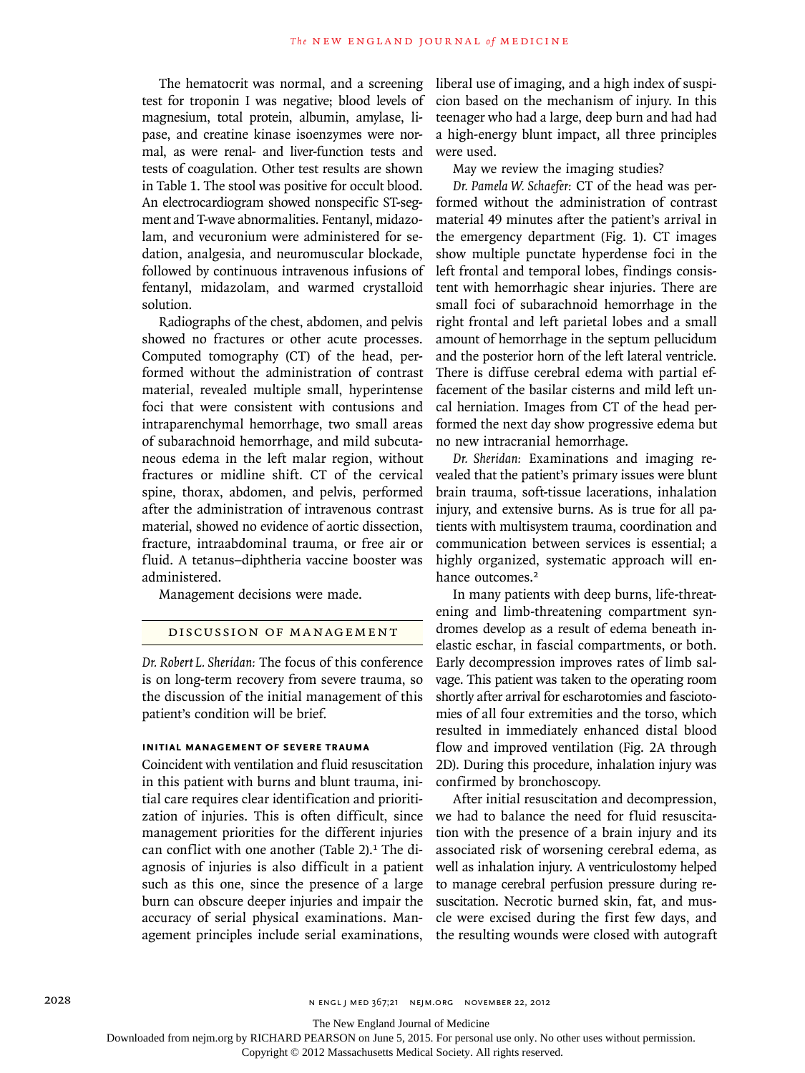The hematocrit was normal, and a screening test for troponin I was negative; blood levels of magnesium, total protein, albumin, amylase, lipase, and creatine kinase isoenzymes were normal, as were renal- and liver-function tests and tests of coagulation. Other test results are shown in Table 1. The stool was positive for occult blood. An electrocardiogram showed nonspecific ST-segment and T-wave abnormalities. Fentanyl, midazolam, and vecuronium were administered for sedation, analgesia, and neuromuscular blockade, followed by continuous intravenous infusions of fentanyl, midazolam, and warmed crystalloid solution.

Radiographs of the chest, abdomen, and pelvis showed no fractures or other acute processes. Computed tomography (CT) of the head, performed without the administration of contrast material, revealed multiple small, hyperintense foci that were consistent with contusions and intraparenchymal hemorrhage, two small areas of subarachnoid hemorrhage, and mild subcutaneous edema in the left malar region, without fractures or midline shift. CT of the cervical spine, thorax, abdomen, and pelvis, performed after the administration of intravenous contrast material, showed no evidence of aortic dissection, fracture, intraabdominal trauma, or free air or fluid. A tetanus–diphtheria vaccine booster was administered.

Management decisions were made.

## DISCUSSION OF MANAGEMENT

*Dr. Robert L. Sheridan:* The focus of this conference is on long-term recovery from severe trauma, so the discussion of the initial management of this patient's condition will be brief.

### **initial management of severe trauma**

Coincident with ventilation and fluid resuscitation in this patient with burns and blunt trauma, initial care requires clear identification and prioritization of injuries. This is often difficult, since management priorities for the different injuries can conflict with one another (Table 2).<sup>1</sup> The diagnosis of injuries is also difficult in a patient such as this one, since the presence of a large burn can obscure deeper injuries and impair the accuracy of serial physical examinations. Management principles include serial examinations,

liberal use of imaging, and a high index of suspicion based on the mechanism of injury. In this teenager who had a large, deep burn and had had a high-energy blunt impact, all three principles were used.

May we review the imaging studies?

*Dr. Pamela W. Schaefer:* CT of the head was performed without the administration of contrast material 49 minutes after the patient's arrival in the emergency department (Fig. 1). CT images show multiple punctate hyperdense foci in the left frontal and temporal lobes, findings consistent with hemorrhagic shear injuries. There are small foci of subarachnoid hemorrhage in the right frontal and left parietal lobes and a small amount of hemorrhage in the septum pellucidum and the posterior horn of the left lateral ventricle. There is diffuse cerebral edema with partial effacement of the basilar cisterns and mild left uncal herniation. Images from CT of the head performed the next day show progressive edema but no new intracranial hemorrhage.

*Dr. Sheridan:* Examinations and imaging revealed that the patient's primary issues were blunt brain trauma, soft-tissue lacerations, inhalation injury, and extensive burns. As is true for all patients with multisystem trauma, coordination and communication between services is essential; a highly organized, systematic approach will enhance outcomes.<sup>2</sup>

In many patients with deep burns, life-threatening and limb-threatening compartment syndromes develop as a result of edema beneath inelastic eschar, in fascial compartments, or both. Early decompression improves rates of limb salvage. This patient was taken to the operating room shortly after arrival for escharotomies and fasciotomies of all four extremities and the torso, which resulted in immediately enhanced distal blood flow and improved ventilation (Fig. 2A through 2D). During this procedure, inhalation injury was confirmed by bronchoscopy.

After initial resuscitation and decompression, we had to balance the need for fluid resuscitation with the presence of a brain injury and its associated risk of worsening cerebral edema, as well as inhalation injury. A ventriculostomy helped to manage cerebral perfusion pressure during resuscitation. Necrotic burned skin, fat, and muscle were excised during the first few days, and the resulting wounds were closed with autograft

The New England Journal of Medicine

Downloaded from nejm.org by RICHARD PEARSON on June 5, 2015. For personal use only. No other uses without permission.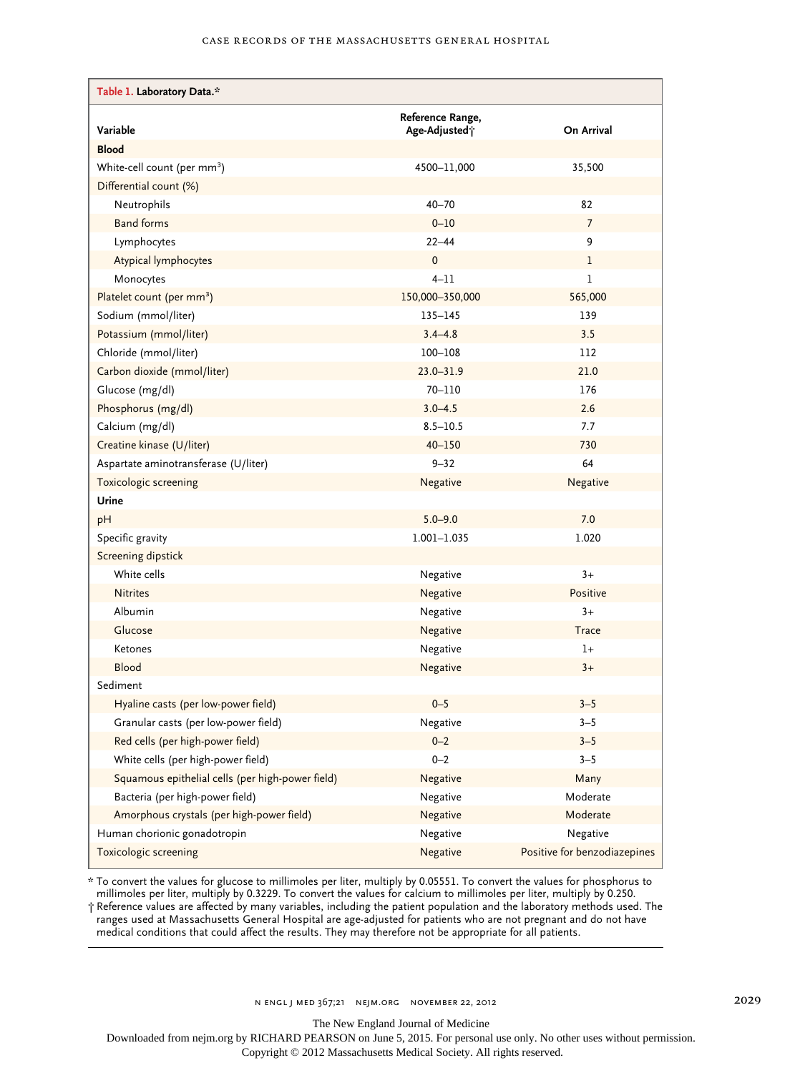| Table 1. Laboratory Data.*                       |                  |                              |  |
|--------------------------------------------------|------------------|------------------------------|--|
| Variable                                         | Reference Range, | On Arrival                   |  |
| <b>Blood</b>                                     | Age-Adjusted r   |                              |  |
| White-cell count (per mm <sup>3</sup> )          | 4500-11,000      | 35,500                       |  |
|                                                  |                  |                              |  |
| Differential count (%)                           | $40 - 70$        | 82                           |  |
| Neutrophils<br><b>Band forms</b>                 | $0 - 10$         |                              |  |
|                                                  | $22 - 44$        | $\overline{7}$<br>9          |  |
| Lymphocytes                                      |                  |                              |  |
| Atypical lymphocytes                             | $\mathbf{0}$     | $\mathbf{1}$                 |  |
| Monocytes                                        | $4 - 11$         | $\mathbf{1}$                 |  |
| Platelet count (per mm <sup>3</sup> )            | 150,000-350,000  | 565,000                      |  |
| Sodium (mmol/liter)                              | $135 - 145$      | 139                          |  |
| Potassium (mmol/liter)                           | $3.4 - 4.8$      | 3.5                          |  |
| Chloride (mmol/liter)                            | 100-108          | 112                          |  |
| Carbon dioxide (mmol/liter)                      | $23.0 - 31.9$    | 21.0                         |  |
| Glucose (mg/dl)                                  | 70-110           | 176                          |  |
| Phosphorus (mg/dl)                               | $3.0 - 4.5$      | 2.6                          |  |
| Calcium (mg/dl)                                  | $8.5 - 10.5$     | 7.7                          |  |
| Creatine kinase (U/liter)                        | $40 - 150$       | 730                          |  |
| Aspartate aminotransferase (U/liter)             | $9 - 32$         | 64                           |  |
| Toxicologic screening                            | Negative         | Negative                     |  |
| Urine                                            |                  |                              |  |
| pH                                               | $5.0 - 9.0$      | 7.0                          |  |
| Specific gravity                                 | $1.001 - 1.035$  | 1.020                        |  |
| Screening dipstick                               |                  |                              |  |
| White cells                                      | Negative         | $3+$                         |  |
| <b>Nitrites</b>                                  | Negative         | Positive                     |  |
| Albumin                                          | Negative         | $3+$                         |  |
| Glucose                                          | Negative         | <b>Trace</b>                 |  |
| Ketones                                          | Negative         | $_{1+}$                      |  |
| <b>Blood</b>                                     | Negative         | $3+$                         |  |
| Sediment                                         |                  |                              |  |
| Hyaline casts (per low-power field)              | $0 - 5$          | $3 - 5$                      |  |
| Granular casts (per low-power field)             | Negative         | $3 - 5$                      |  |
| Red cells (per high-power field)                 | $0 - 2$          | $3 - 5$                      |  |
| White cells (per high-power field)               | $0 - 2$          | $3 - 5$                      |  |
| Squamous epithelial cells (per high-power field) | Negative         | Many                         |  |
| Bacteria (per high-power field)                  | Negative         | Moderate                     |  |
| Amorphous crystals (per high-power field)        | Negative         | Moderate                     |  |
| Human chorionic gonadotropin                     | Negative         | Negative                     |  |
| Toxicologic screening                            | Negative         | Positive for benzodiazepines |  |

\* To convert the values for glucose to millimoles per liter, multiply by 0.05551. To convert the values for phosphorus to millimoles per liter, multiply by 0.3229. To convert the values for calcium to millimoles per liter, multiply by 0.250.

† Reference values are affected by many variables, including the patient population and the laboratory methods used. The ranges used at Massachusetts General Hospital are age-adjusted for patients who are not pregnant and do not have medical conditions that could affect the results. They may therefore not be appropriate for all patients.

n engl j med 367;21 nejm.org november 22, 2012 2029

The New England Journal of Medicine

Downloaded from nejm.org by RICHARD PEARSON on June 5, 2015. For personal use only. No other uses without permission.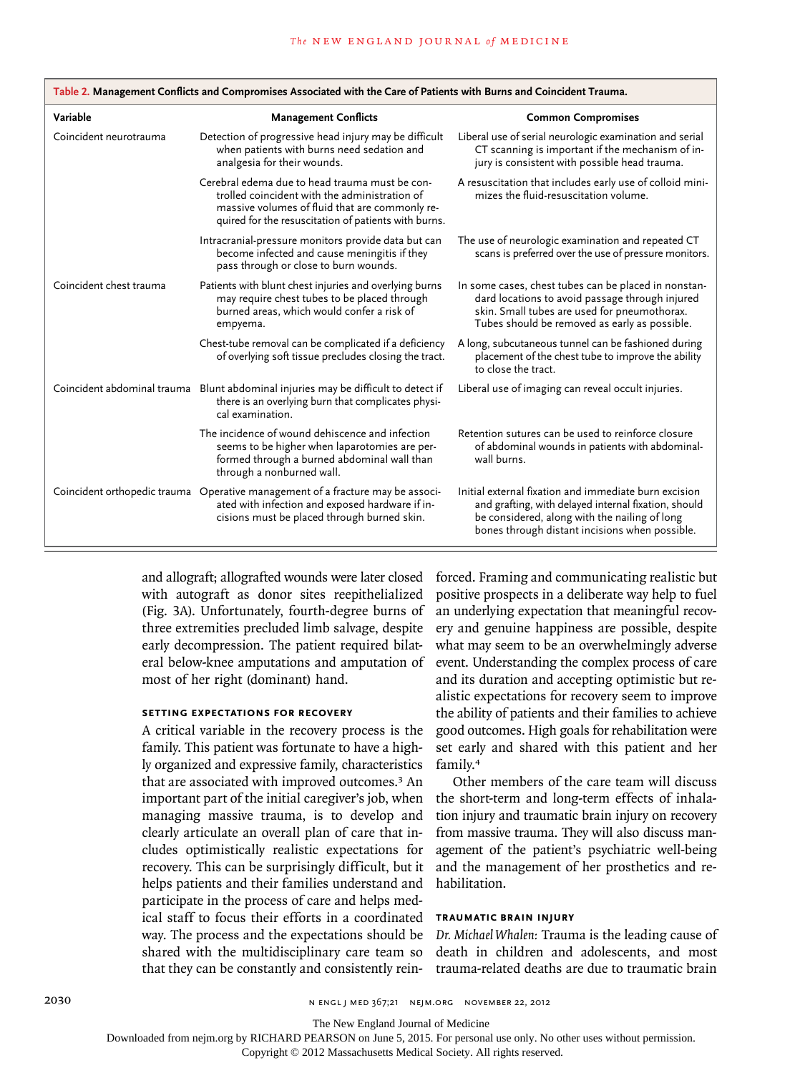| Table 2. Management Conflicts and Compromises Associated with the Care of Patients with Burns and Coincident Trauma. |                                                                                                                                                                                                           |                                                                                                                                                                                                                  |  |
|----------------------------------------------------------------------------------------------------------------------|-----------------------------------------------------------------------------------------------------------------------------------------------------------------------------------------------------------|------------------------------------------------------------------------------------------------------------------------------------------------------------------------------------------------------------------|--|
| Variable                                                                                                             | <b>Management Conflicts</b>                                                                                                                                                                               | <b>Common Compromises</b>                                                                                                                                                                                        |  |
| Coincident neurotrauma                                                                                               | Detection of progressive head injury may be difficult<br>when patients with burns need sedation and<br>analgesia for their wounds.                                                                        | Liberal use of serial neurologic examination and serial<br>CT scanning is important if the mechanism of in-<br>jury is consistent with possible head trauma.                                                     |  |
|                                                                                                                      | Cerebral edema due to head trauma must be con-<br>trolled coincident with the administration of<br>massive volumes of fluid that are commonly re-<br>quired for the resuscitation of patients with burns. | A resuscitation that includes early use of colloid mini-<br>mizes the fluid-resuscitation volume.                                                                                                                |  |
|                                                                                                                      | Intracranial-pressure monitors provide data but can<br>become infected and cause meningitis if they<br>pass through or close to burn wounds.                                                              | The use of neurologic examination and repeated CT<br>scans is preferred over the use of pressure monitors.                                                                                                       |  |
| Coincident chest trauma                                                                                              | Patients with blunt chest injuries and overlying burns<br>may require chest tubes to be placed through<br>burned areas, which would confer a risk of<br>empyema.                                          | In some cases, chest tubes can be placed in nonstan-<br>dard locations to avoid passage through injured<br>skin. Small tubes are used for pneumothorax.<br>Tubes should be removed as early as possible.         |  |
|                                                                                                                      | Chest-tube removal can be complicated if a deficiency<br>of overlying soft tissue precludes closing the tract.                                                                                            | A long, subcutaneous tunnel can be fashioned during<br>placement of the chest tube to improve the ability<br>to close the tract.                                                                                 |  |
| Coincident abdominal trauma                                                                                          | Blunt abdominal injuries may be difficult to detect if<br>there is an overlying burn that complicates physi-<br>cal examination.                                                                          | Liberal use of imaging can reveal occult injuries.                                                                                                                                                               |  |
|                                                                                                                      | The incidence of wound dehiscence and infection<br>seems to be higher when laparotomies are per-<br>formed through a burned abdominal wall than<br>through a nonburned wall.                              | Retention sutures can be used to reinforce closure<br>of abdominal wounds in patients with abdominal-<br>wall burns.                                                                                             |  |
|                                                                                                                      | Coincident orthopedic trauma Operative management of a fracture may be associ-<br>ated with infection and exposed hardware if in-<br>cisions must be placed through burned skin.                          | Initial external fixation and immediate burn excision<br>and grafting, with delayed internal fixation, should<br>be considered, along with the nailing of long<br>bones through distant incisions when possible. |  |

and allograft; allografted wounds were later closed with autograft as donor sites reepithelialized (Fig. 3A). Unfortunately, fourth-degree burns of three extremities precluded limb salvage, despite early decompression. The patient required bilateral below-knee amputations and amputation of most of her right (dominant) hand.

## **Setting expectations for recovery**

A critical variable in the recovery process is the family. This patient was fortunate to have a highly organized and expressive family, characteristics that are associated with improved outcomes.<sup>3</sup> An important part of the initial caregiver's job, when managing massive trauma, is to develop and clearly articulate an overall plan of care that includes optimistically realistic expectations for recovery. This can be surprisingly difficult, but it helps patients and their families understand and participate in the process of care and helps medical staff to focus their efforts in a coordinated way. The process and the expectations should be shared with the multidisciplinary care team so that they can be constantly and consistently reinforced. Framing and communicating realistic but positive prospects in a deliberate way help to fuel an underlying expectation that meaningful recovery and genuine happiness are possible, despite what may seem to be an overwhelmingly adverse event. Understanding the complex process of care and its duration and accepting optimistic but realistic expectations for recovery seem to improve the ability of patients and their families to achieve good outcomes. High goals for rehabilitation were set early and shared with this patient and her family.<sup>4</sup>

Other members of the care team will discuss the short-term and long-term effects of inhalation injury and traumatic brain injury on recovery from massive trauma. They will also discuss management of the patient's psychiatric well-being and the management of her prosthetics and rehabilitation.

## **Traumatic brain injury**

*Dr. Michael Whalen:* Trauma is the leading cause of death in children and adolescents, and most trauma-related deaths are due to traumatic brain

The New England Journal of Medicine

Downloaded from nejm.org by RICHARD PEARSON on June 5, 2015. For personal use only. No other uses without permission.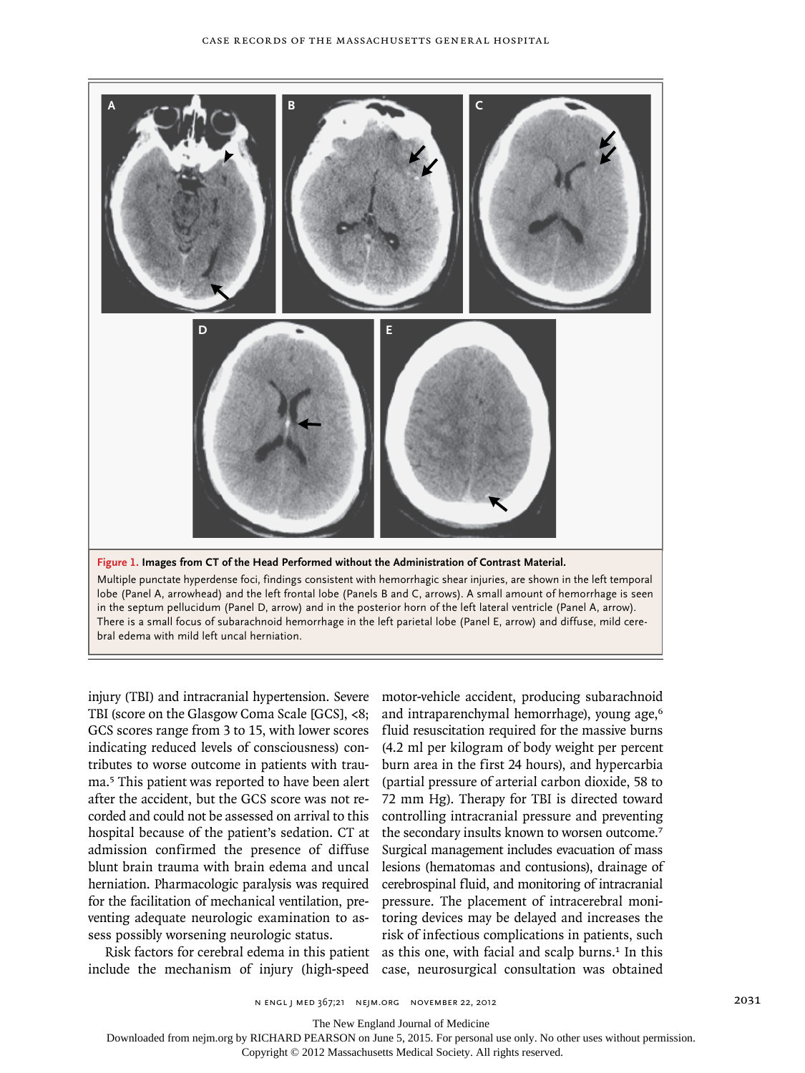

injury (TBI) and intracranial hypertension. Severe TBI (score on the Glasgow Coma Scale [GCS], <8; GCS scores range from 3 to 15, with lower scores indicating reduced levels of consciousness) contributes to worse outcome in patients with trauma.<sup>5</sup> This patient was reported to have been alert after the accident, but the GCS score was not recorded and could not be assessed on arrival to this hospital because of the patient's sedation. CT at admission confirmed the presence of diffuse blunt brain trauma with brain edema and uncal herniation. Pharmacologic paralysis was required for the facilitation of mechanical ventilation, preventing adequate neurologic examination to assess possibly worsening neurologic status.

Risk factors for cerebral edema in this patient include the mechanism of injury (high-speed

motor-vehicle accident, producing subarachnoid and intraparenchymal hemorrhage), young age,<sup>6</sup> fluid resuscitation required for the massive burns (4.2 ml per kilogram of body weight per percent burn area in the first 24 hours), and hypercarbia (partial pressure of arterial carbon dioxide, 58 to 72 mm Hg). Therapy for TBI is directed toward controlling intracranial pressure and preventing the secondary insults known to worsen outcome.<sup>7</sup> Surgical management includes evacuation of mass lesions (hematomas and contusions), drainage of cerebrospinal fluid, and monitoring of intracranial pressure. The placement of intracerebral monitoring devices may be delayed and increases the risk of infectious complications in patients, such as this one, with facial and scalp burns.<sup>1</sup> In this case, neurosurgical consultation was obtained

The New England Journal of Medicine

Downloaded from nejm.org by RICHARD PEARSON on June 5, 2015. For personal use only. No other uses without permission.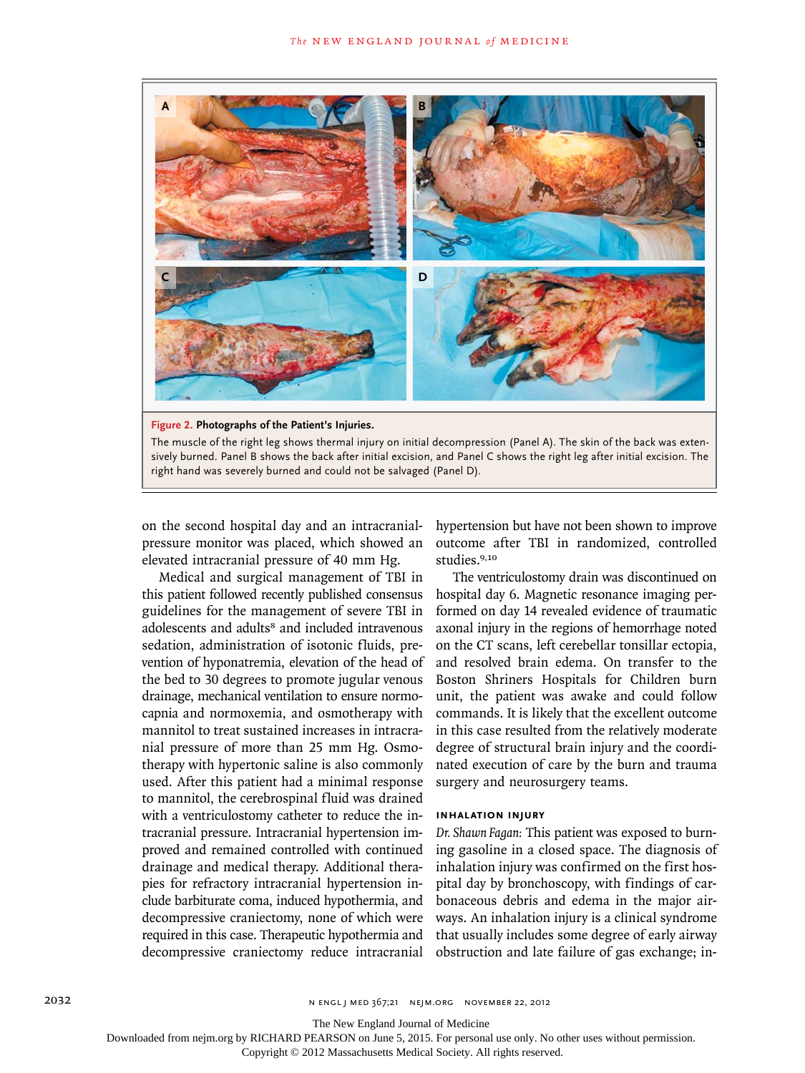

on the second hospital day and an intracranialpressure monitor was placed, which showed an elevated intracranial pressure of 40 mm Hg.

Medical and surgical management of TBI in this patient followed recently published consensus guidelines for the management of severe TBI in adolescents and adults<sup>8</sup> and included intravenous sedation, administration of isotonic fluids, prevention of hyponatremia, elevation of the head of the bed to 30 degrees to promote jugular venous drainage, mechanical ventilation to ensure normocapnia and normoxemia, and osmotherapy with mannitol to treat sustained increases in intracranial pressure of more than 25 mm Hg. Osmotherapy with hypertonic saline is also commonly used. After this patient had a minimal response to mannitol, the cerebrospinal fluid was drained with a ventriculostomy catheter to reduce the intracranial pressure. Intracranial hypertension improved and remained controlled with continued drainage and medical therapy. Additional therapies for refractory intracranial hypertension include barbiturate coma, induced hypothermia, and decompressive craniectomy, none of which were required in this case. Therapeutic hypothermia and decompressive craniectomy reduce intracranial

hypertension but have not been shown to improve outcome after TBI in randomized, controlled studies.<sup>9,10</sup>

The ventriculostomy drain was discontinued on hospital day 6. Magnetic resonance imaging performed on day 14 revealed evidence of traumatic axonal injury in the regions of hemorrhage noted on the CT scans, left cerebellar tonsillar ectopia, and resolved brain edema. On transfer to the Boston Shriners Hospitals for Children burn unit, the patient was awake and could follow commands. It is likely that the excellent outcome in this case resulted from the relatively moderate degree of structural brain injury and the coordinated execution of care by the burn and trauma surgery and neurosurgery teams.

#### **Inhalation injury**

*Dr. Shawn Fagan:* This patient was exposed to burning gasoline in a closed space. The diagnosis of inhalation injury was confirmed on the first hospital day by bronchoscopy, with findings of carbonaceous debris and edema in the major airways. An inhalation injury is a clinical syndrome that usually includes some degree of early airway obstruction and late failure of gas exchange; in-

The New England Journal of Medicine

Downloaded from nejm.org by RICHARD PEARSON on June 5, 2015. For personal use only. No other uses without permission.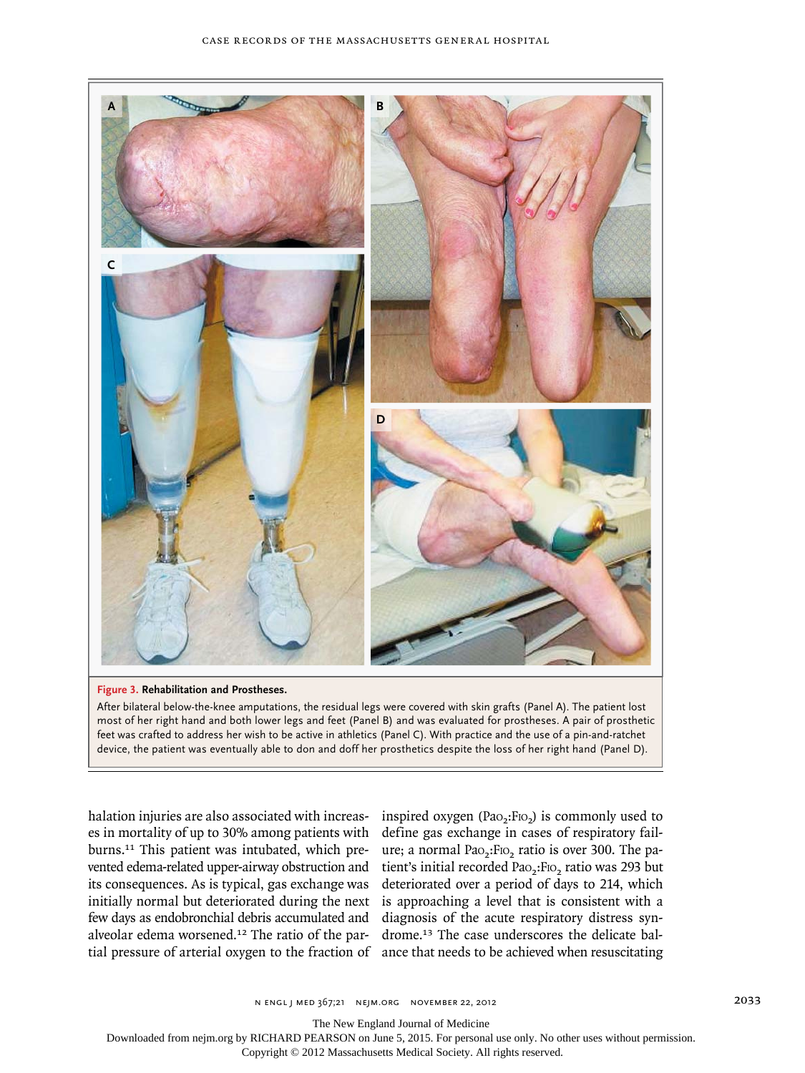

#### **Figure 3. Rehabilitation and Prostheses.**

After bilateral below-the-knee amputations, the residual legs were covered with skin grafts (Panel A). The patient lost most of her right hand and both lower legs and feet (Panel B) and was evaluated for prostheses. A pair of prosthetic feet was crafted to address her wish to be active in athletics (Panel C). With practice and the use of a pin-and-ratchet device, the patient was eventually able to don and doff her prosthetics despite the loss of her right hand (Panel D).

halation injuries are also associated with increases in mortality of up to 30% among patients with burns.11 This patient was intubated, which prevented edema-related upper-airway obstruction and its consequences. As is typical, gas exchange was initially normal but deteriorated during the next few days as endobronchial debris accumulated and alveolar edema worsened.12 The ratio of the par-

tial pressure of arterial oxygen to the fraction of ance that needs to be achieved when resuscitating inspired oxygen ( $PaO<sub>2</sub>:FiO<sub>2</sub>$ ) is commonly used to define gas exchange in cases of respiratory failure; a normal Pao<sub>2</sub>:F<sub>IO2</sub> ratio is over 300. The patient's initial recorded Pao<sub>2</sub>:FIO<sub>2</sub> ratio was 293 but deteriorated over a period of days to 214, which is approaching a level that is consistent with a diagnosis of the acute respiratory distress syndrome.13 The case underscores the delicate bal-

The New England Journal of Medicine

Downloaded from nejm.org by RICHARD PEARSON on June 5, 2015. For personal use only. No other uses without permission.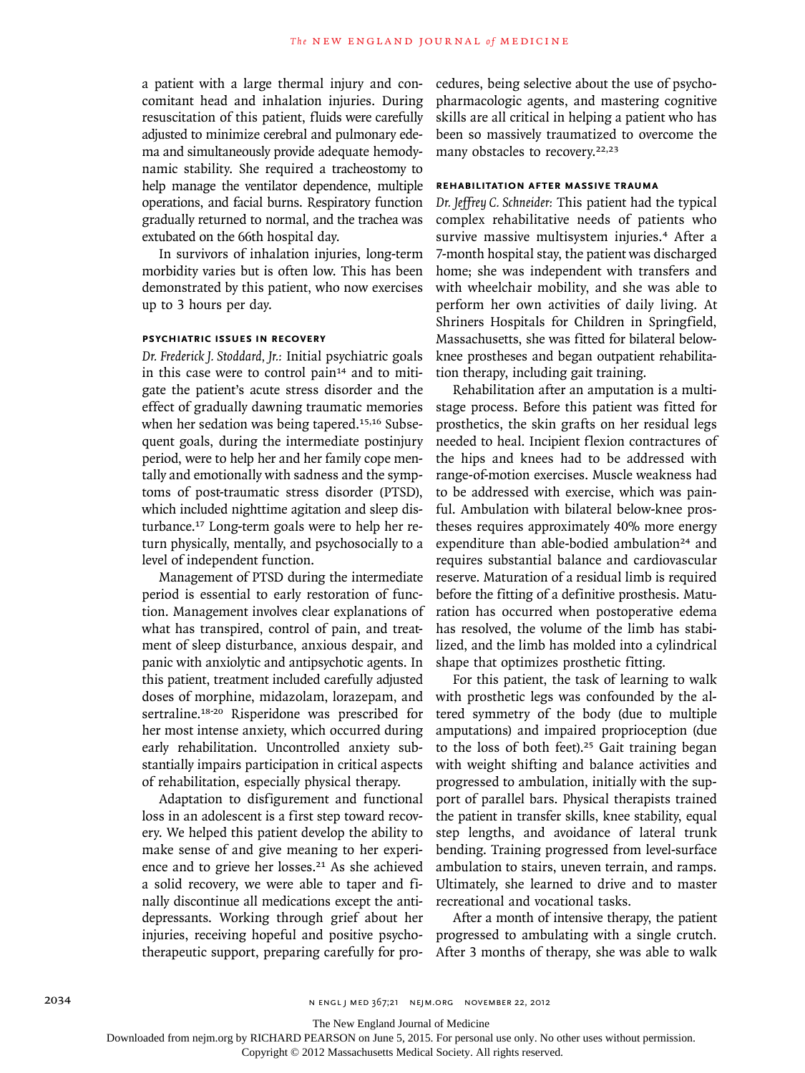a patient with a large thermal injury and concomitant head and inhalation injuries. During resuscitation of this patient, fluids were carefully adjusted to minimize cerebral and pulmonary edema and simultaneously provide adequate hemodynamic stability. She required a tracheostomy to help manage the ventilator dependence, multiple operations, and facial burns. Respiratory function gradually returned to normal, and the trachea was extubated on the 66th hospital day.

In survivors of inhalation injuries, long-term morbidity varies but is often low. This has been demonstrated by this patient, who now exercises up to 3 hours per day.

## **Psychiatric issues in recovery**

*Dr. Frederick J. Stoddard, Jr.:* Initial psychiatric goals in this case were to control pain<sup>14</sup> and to mitigate the patient's acute stress disorder and the effect of gradually dawning traumatic memories when her sedation was being tapered.<sup>15,16</sup> Subsequent goals, during the intermediate postinjury period, were to help her and her family cope mentally and emotionally with sadness and the symptoms of post-traumatic stress disorder (PTSD), which included nighttime agitation and sleep disturbance.17 Long-term goals were to help her return physically, mentally, and psychosocially to a level of independent function.

Management of PTSD during the intermediate period is essential to early restoration of function. Management involves clear explanations of what has transpired, control of pain, and treatment of sleep disturbance, anxious despair, and panic with anxiolytic and antipsychotic agents. In this patient, treatment included carefully adjusted doses of morphine, midazolam, lorazepam, and sertraline.<sup>18-20</sup> Risperidone was prescribed for her most intense anxiety, which occurred during early rehabilitation. Uncontrolled anxiety substantially impairs participation in critical aspects of rehabilitation, especially physical therapy.

Adaptation to disfigurement and functional loss in an adolescent is a first step toward recovery. We helped this patient develop the ability to make sense of and give meaning to her experience and to grieve her losses.21 As she achieved a solid recovery, we were able to taper and finally discontinue all medications except the antidepressants. Working through grief about her injuries, receiving hopeful and positive psychotherapeutic support, preparing carefully for procedures, being selective about the use of psychopharmacologic agents, and mastering cognitive skills are all critical in helping a patient who has been so massively traumatized to overcome the many obstacles to recovery.<sup>22,23</sup>

### **Rehabilitation after massive trauma**

*Dr. Jeffrey C. Schneider:* This patient had the typical complex rehabilitative needs of patients who survive massive multisystem injuries.<sup>4</sup> After a 7-month hospital stay, the patient was discharged home; she was independent with transfers and with wheelchair mobility, and she was able to perform her own activities of daily living. At Shriners Hospitals for Children in Springfield, Massachusetts, she was fitted for bilateral belowknee prostheses and began outpatient rehabilitation therapy, including gait training.

Rehabilitation after an amputation is a multistage process. Before this patient was fitted for prosthetics, the skin grafts on her residual legs needed to heal. Incipient flexion contractures of the hips and knees had to be addressed with range-of-motion exercises. Muscle weakness had to be addressed with exercise, which was painful. Ambulation with bilateral below-knee prostheses requires approximately 40% more energy expenditure than able-bodied ambulation<sup>24</sup> and requires substantial balance and cardiovascular reserve. Maturation of a residual limb is required before the fitting of a definitive prosthesis. Maturation has occurred when postoperative edema has resolved, the volume of the limb has stabilized, and the limb has molded into a cylindrical shape that optimizes prosthetic fitting.

For this patient, the task of learning to walk with prosthetic legs was confounded by the altered symmetry of the body (due to multiple amputations) and impaired proprioception (due to the loss of both feet).<sup>25</sup> Gait training began with weight shifting and balance activities and progressed to ambulation, initially with the support of parallel bars. Physical therapists trained the patient in transfer skills, knee stability, equal step lengths, and avoidance of lateral trunk bending. Training progressed from level-surface ambulation to stairs, uneven terrain, and ramps. Ultimately, she learned to drive and to master recreational and vocational tasks.

After a month of intensive therapy, the patient progressed to ambulating with a single crutch. After 3 months of therapy, she was able to walk

The New England Journal of Medicine

Downloaded from nejm.org by RICHARD PEARSON on June 5, 2015. For personal use only. No other uses without permission.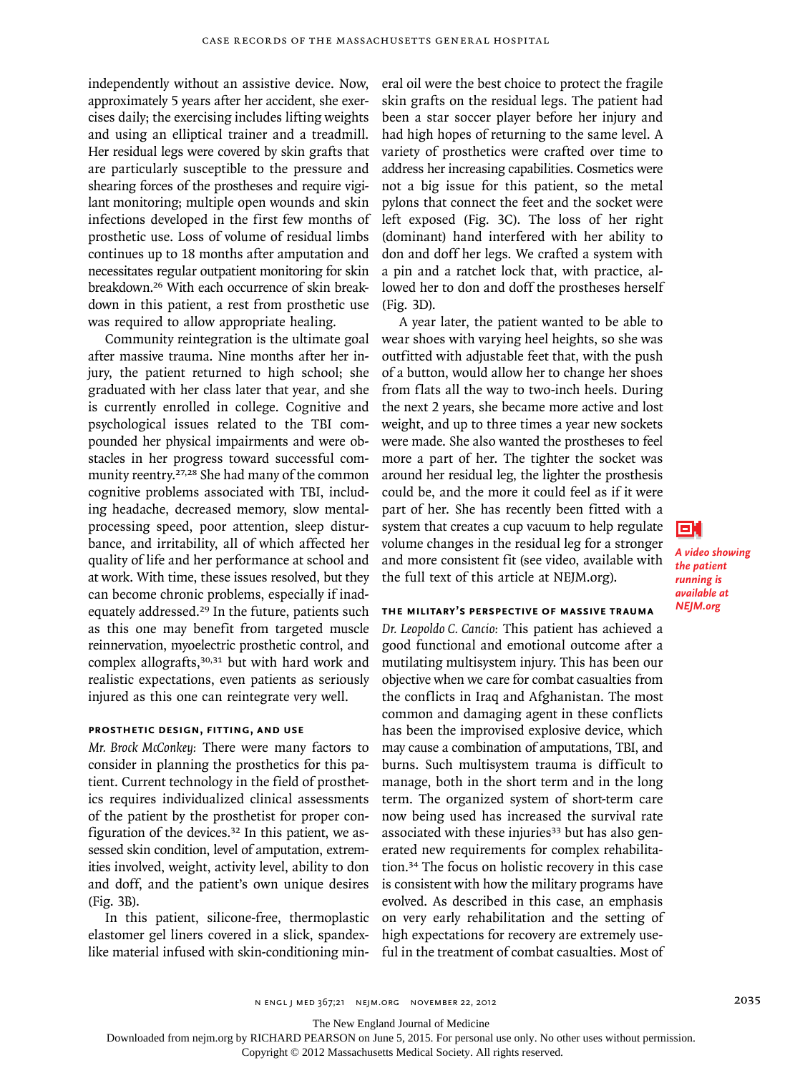independently without an assistive device. Now, approximately 5 years after her accident, she exercises daily; the exercising includes lifting weights and using an elliptical trainer and a treadmill. Her residual legs were covered by skin grafts that are particularly susceptible to the pressure and shearing forces of the prostheses and require vigilant monitoring; multiple open wounds and skin infections developed in the first few months of prosthetic use. Loss of volume of residual limbs continues up to 18 months after amputation and necessitates regular outpatient monitoring for skin breakdown.26 With each occurrence of skin breakdown in this patient, a rest from prosthetic use was required to allow appropriate healing.

Community reintegration is the ultimate goal after massive trauma. Nine months after her injury, the patient returned to high school; she graduated with her class later that year, and she is currently enrolled in college. Cognitive and psychological issues related to the TBI compounded her physical impairments and were obstacles in her progress toward successful community reentry.27,28 She had many of the common cognitive problems associated with TBI, including headache, decreased memory, slow mentalprocessing speed, poor attention, sleep disturbance, and irritability, all of which affected her quality of life and her performance at school and at work. With time, these issues resolved, but they can become chronic problems, especially if inadequately addressed.29 In the future, patients such as this one may benefit from targeted muscle reinnervation, myoelectric prosthetic control, and complex allografts,30,31 but with hard work and realistic expectations, even patients as seriously injured as this one can reintegrate very well.

## **Prosthetic design, fitting, and Use**

*Mr. Brock McConkey:* There were many factors to consider in planning the prosthetics for this patient. Current technology in the field of prosthetics requires individualized clinical assessments of the patient by the prosthetist for proper configuration of the devices.32 In this patient, we assessed skin condition, level of amputation, extremities involved, weight, activity level, ability to don and doff, and the patient's own unique desires (Fig. 3B).

In this patient, silicone-free, thermoplastic elastomer gel liners covered in a slick, spandexlike material infused with skin-conditioning min-

eral oil were the best choice to protect the fragile skin grafts on the residual legs. The patient had been a star soccer player before her injury and had high hopes of returning to the same level. A variety of prosthetics were crafted over time to address her increasing capabilities. Cosmetics were not a big issue for this patient, so the metal pylons that connect the feet and the socket were left exposed (Fig. 3C). The loss of her right (dominant) hand interfered with her ability to don and doff her legs. We crafted a system with a pin and a ratchet lock that, with practice, allowed her to don and doff the prostheses herself (Fig. 3D).

A year later, the patient wanted to be able to wear shoes with varying heel heights, so she was outfitted with adjustable feet that, with the push of a button, would allow her to change her shoes from flats all the way to two-inch heels. During the next 2 years, she became more active and lost weight, and up to three times a year new sockets were made. She also wanted the prostheses to feel more a part of her. The tighter the socket was around her residual leg, the lighter the prosthesis could be, and the more it could feel as if it were part of her. She has recently been fitted with a system that creates a cup vacuum to help regulate volume changes in the residual leg for a stronger and more consistent fit (see video, available with the full text of this article at NEJM.org).

## **The Military's Perspective of massive trauma**

*Dr. Leopoldo C. Cancio:* This patient has achieved a good functional and emotional outcome after a mutilating multisystem injury. This has been our objective when we care for combat casualties from the conflicts in Iraq and Afghanistan. The most common and damaging agent in these conflicts has been the improvised explosive device, which may cause a combination of amputations, TBI, and burns. Such multisystem trauma is difficult to manage, both in the short term and in the long term. The organized system of short-term care now being used has increased the survival rate associated with these injuries<sup>33</sup> but has also generated new requirements for complex rehabilitation.<sup>34</sup> The focus on holistic recovery in this case is consistent with how the military programs have evolved. As described in this case, an emphasis on very early rehabilitation and the setting of high expectations for recovery are extremely useful in the treatment of combat casualties. Most of

ЕI.

*A video showing the patient running is available at NEJM.org*

The New England Journal of Medicine

Downloaded from nejm.org by RICHARD PEARSON on June 5, 2015. For personal use only. No other uses without permission.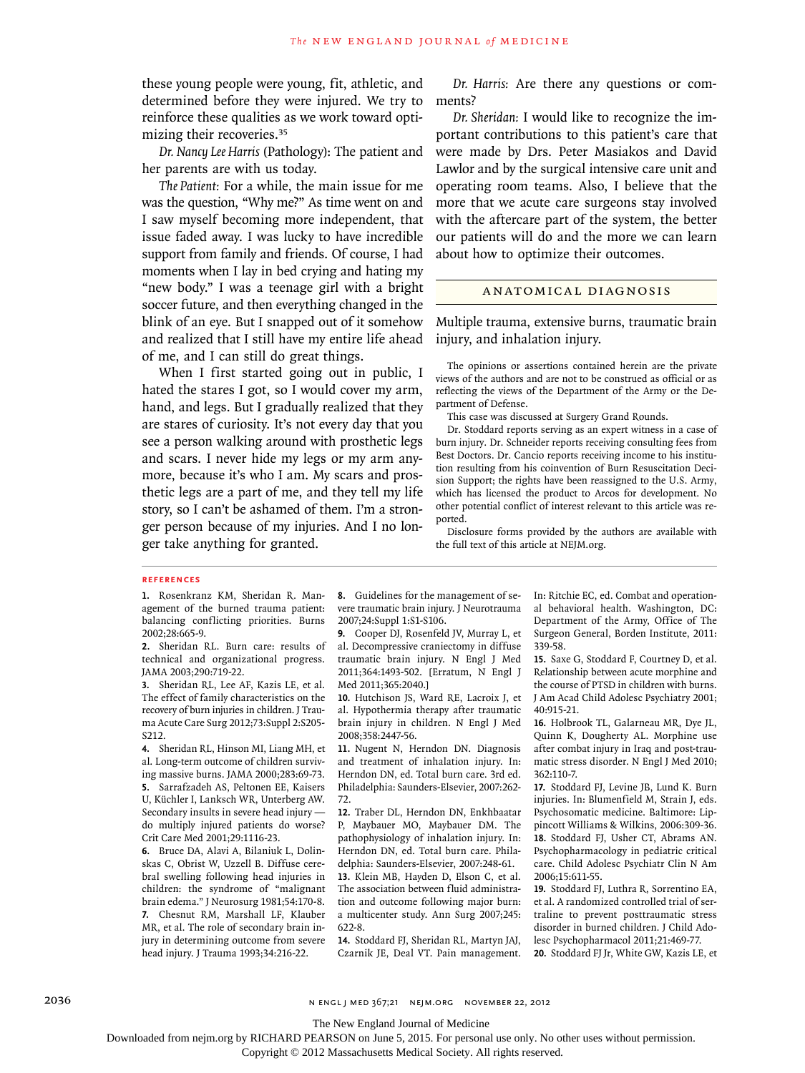these young people were young, fit, athletic, and determined before they were injured. We try to reinforce these qualities as we work toward optimizing their recoveries.<sup>35</sup>

*Dr. Nancy Lee Harris* (Pathology): The patient and her parents are with us today.

*The Patient:* For a while, the main issue for me was the question, "Why me?" As time went on and I saw myself becoming more independent, that issue faded away. I was lucky to have incredible support from family and friends. Of course, I had moments when I lay in bed crying and hating my "new body." I was a teenage girl with a bright soccer future, and then everything changed in the blink of an eye. But I snapped out of it somehow and realized that I still have my entire life ahead of me, and I can still do great things.

When I first started going out in public, I hated the stares I got, so I would cover my arm, hand, and legs. But I gradually realized that they are stares of curiosity. It's not every day that you see a person walking around with prosthetic legs and scars. I never hide my legs or my arm anymore, because it's who I am. My scars and prosthetic legs are a part of me, and they tell my life story, so I can't be ashamed of them. I'm a stronger person because of my injuries. And I no longer take anything for granted.

*Dr. Harris:* Are there any questions or comments?

*Dr. Sheridan:* I would like to recognize the important contributions to this patient's care that were made by Drs. Peter Masiakos and David Lawlor and by the surgical intensive care unit and operating room teams. Also, I believe that the more that we acute care surgeons stay involved with the aftercare part of the system, the better our patients will do and the more we can learn about how to optimize their outcomes.

## ANATOMICAL DIAGNOSIS

Multiple trauma, extensive burns, traumatic brain injury, and inhalation injury.

The opinions or assertions contained herein are the private views of the authors and are not to be construed as official or as reflecting the views of the Department of the Army or the Department of Defense.

This case was discussed at Surgery Grand Rounds.

Dr. Stoddard reports serving as an expert witness in a case of burn injury. Dr. Schneider reports receiving consulting fees from Best Doctors. Dr. Cancio reports receiving income to his institution resulting from his coinvention of Burn Resuscitation Decision Support; the rights have been reassigned to the U.S. Army, which has licensed the product to Arcos for development. No other potential conflict of interest relevant to this article was reported.

Disclosure forms provided by the authors are available with the full text of this article at NEJM.org.

#### **References**

**1.** Rosenkranz KM, Sheridan R. Management of the burned trauma patient: balancing conflicting priorities. Burns 2002;28:665-9.

**2.** Sheridan RL. Burn care: results of technical and organizational progress. JAMA 2003;290:719-22.

**3.** Sheridan RL, Lee AF, Kazis LE, et al. The effect of family characteristics on the recovery of burn injuries in children. J Trauma Acute Care Surg 2012;73:Suppl 2:S205- S212.

**4.** Sheridan RL, Hinson MI, Liang MH, et al. Long-term outcome of children surviving massive burns. JAMA 2000;283:69-73. **5.** Sarrafzadeh AS, Peltonen EE, Kaisers U, Küchler I, Lanksch WR, Unterberg AW. Secondary insults in severe head injury do multiply injured patients do worse? Crit Care Med 2001;29:1116-23.

**6.** Bruce DA, Alavi A, Bilaniuk L, Dolinskas C, Obrist W, Uzzell B. Diffuse cerebral swelling following head injuries in children: the syndrome of "malignant brain edema." J Neurosurg 1981;54:170-8. **7.** Chesnut RM, Marshall LF, Klauber MR, et al. The role of secondary brain injury in determining outcome from severe head injury. J Trauma 1993;34:216-22.

**8.** Guidelines for the management of severe traumatic brain injury. J Neurotrauma 2007;24:Suppl 1:S1-S106.

**9.** Cooper DJ, Rosenfeld JV, Murray L, et al. Decompressive craniectomy in diffuse traumatic brain injury. N Engl J Med 2011;364:1493-502. [Erratum, N Engl J Med 2011;365:2040.]

**10.** Hutchison JS, Ward RE, Lacroix J, et al. Hypothermia therapy after traumatic brain injury in children. N Engl J Med 2008;358:2447-56.

**11.** Nugent N, Herndon DN. Diagnosis and treatment of inhalation injury. In: Herndon DN, ed. Total burn care. 3rd ed. Philadelphia: Saunders-Elsevier, 2007:262- 72.

**12.** Traber DL, Herndon DN, Enkhbaatar P, Maybauer MO, Maybauer DM. The pathophysiology of inhalation injury. In: Herndon DN, ed. Total burn care. Philadelphia: Saunders-Elsevier, 2007:248-61. **13.** Klein MB, Hayden D, Elson C, et al. The association between fluid administration and outcome following major burn: a multicenter study. Ann Surg 2007;245: 622-8.

**14.** Stoddard FJ, Sheridan RL, Martyn JAJ, Czarnik JE, Deal VT. Pain management. In: Ritchie EC, ed. Combat and operational behavioral health. Washington, DC: Department of the Army, Office of The Surgeon General, Borden Institute, 2011: 339-58.

**15.** Saxe G, Stoddard F, Courtney D, et al. Relationship between acute morphine and the course of PTSD in children with burns. J Am Acad Child Adolesc Psychiatry 2001; 40:915-21.

**16.** Holbrook TL, Galarneau MR, Dye JL, Quinn K, Dougherty AL. Morphine use after combat injury in Iraq and post-traumatic stress disorder. N Engl J Med 2010; 362:110-7.

**17.** Stoddard FJ, Levine JB, Lund K. Burn injuries. In: Blumenfield M, Strain J, eds. Psychosomatic medicine. Baltimore: Lippincott Williams & Wilkins, 2006:309-36. **18.** Stoddard FJ, Usher CT, Abrams AN. Psychopharmacology in pediatric critical care. Child Adolesc Psychiatr Clin N Am 2006;15:611-55.

**19.** Stoddard FJ, Luthra R, Sorrentino EA, et al. A randomized controlled trial of sertraline to prevent posttraumatic stress disorder in burned children. J Child Adolesc Psychopharmacol 2011;21:469-77. **20.** Stoddard FJ Jr, White GW, Kazis LE, et

2036 n engl j med 367;21 nejm.org november 22, 2012

The New England Journal of Medicine

Downloaded from nejm.org by RICHARD PEARSON on June 5, 2015. For personal use only. No other uses without permission.